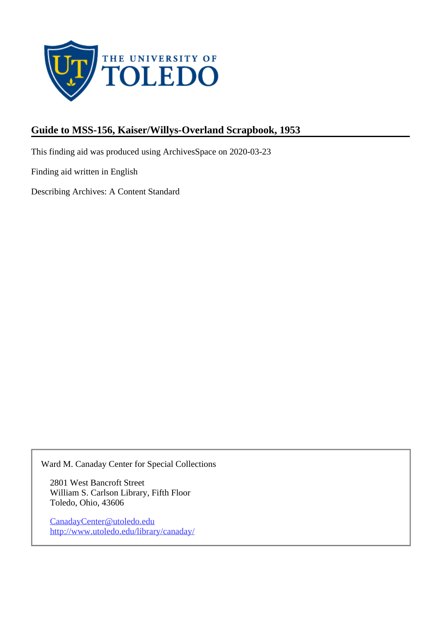

# **Guide to MSS-156, Kaiser/Willys-Overland Scrapbook, 1953**

This finding aid was produced using ArchivesSpace on 2020-03-23

Finding aid written in English

Describing Archives: A Content Standard

Ward M. Canaday Center for Special Collections

2801 West Bancroft Street William S. Carlson Library, Fifth Floor Toledo, Ohio, 43606

CanadayCenter@utoledo.edu <http://www.utoledo.edu/library/canaday/>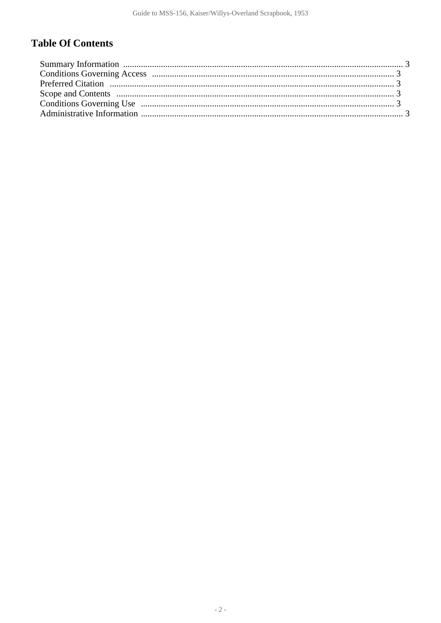# **Table Of Contents**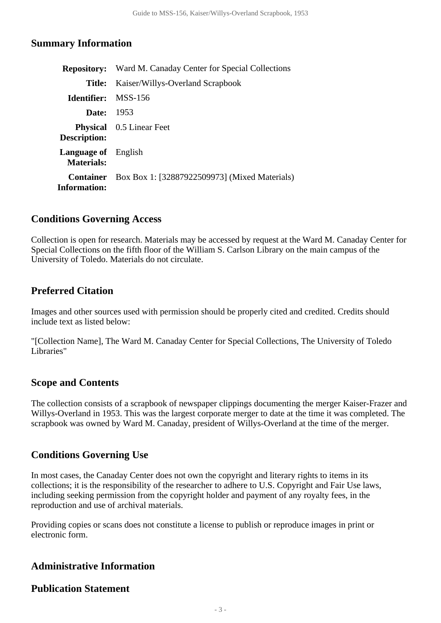#### <span id="page-2-0"></span>**Summary Information**

|                                                 | <b>Repository:</b> Ward M. Canaday Center for Special Collections |
|-------------------------------------------------|-------------------------------------------------------------------|
| Title:                                          | Kaiser/Willys-Overland Scrapbook                                  |
| <b>Identifier:</b> MSS-156                      |                                                                   |
| <b>Date:</b> 1953                               |                                                                   |
| Description:                                    | <b>Physical</b> 0.5 Linear Feet                                   |
| <b>Language of</b> English<br><b>Materials:</b> |                                                                   |
| <b>Container</b><br><b>Information:</b>         | Box Box 1: [32887922509973] (Mixed Materials)                     |
|                                                 |                                                                   |

#### <span id="page-2-1"></span>**Conditions Governing Access**

Collection is open for research. Materials may be accessed by request at the Ward M. Canaday Center for Special Collections on the fifth floor of the William S. Carlson Library on the main campus of the University of Toledo. Materials do not circulate.

## <span id="page-2-2"></span>**Preferred Citation**

Images and other sources used with permission should be properly cited and credited. Credits should include text as listed below:

"[Collection Name], The Ward M. Canaday Center for Special Collections, The University of Toledo Libraries"

## <span id="page-2-3"></span>**Scope and Contents**

The collection consists of a scrapbook of newspaper clippings documenting the merger Kaiser-Frazer and Willys-Overland in 1953. This was the largest corporate merger to date at the time it was completed. The scrapbook was owned by Ward M. Canaday, president of Willys-Overland at the time of the merger.

## <span id="page-2-4"></span>**Conditions Governing Use**

In most cases, the Canaday Center does not own the copyright and literary rights to items in its collections; it is the responsibility of the researcher to adhere to U.S. Copyright and Fair Use laws, including seeking permission from the copyright holder and payment of any royalty fees, in the reproduction and use of archival materials.

Providing copies or scans does not constitute a license to publish or reproduce images in print or electronic form.

## <span id="page-2-5"></span>**Administrative Information**

#### **Publication Statement**